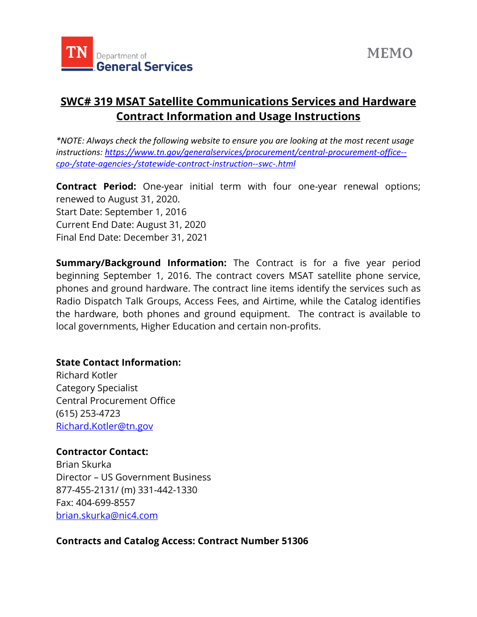

## **SWC# 319 MSAT Satellite Communications Services and Hardware Contract Information and Usage Instructions**

*\*NOTE: Always check the following website to ensure you are looking at the most recent usage instructions: [https://www.tn.gov/generalservices/procurement/central-procurement-office-](https://www.tn.gov/generalservices/procurement/central-procurement-office--cpo-/state-agencies-/statewide-contract-instruction--swc-.html) [cpo-/state-agencies-/statewide-contract-instruction--swc-.html](https://www.tn.gov/generalservices/procurement/central-procurement-office--cpo-/state-agencies-/statewide-contract-instruction--swc-.html)*

**Contract Period:** One-year initial term with four one-year renewal options; renewed to August 31, 2020. Start Date: September 1, 2016 Current End Date: August 31, 2020 Final End Date: December 31, 2021

**Summary/Background Information:** The Contract is for a five year period beginning September 1, 2016. The contract covers MSAT satellite phone service, phones and ground hardware. The contract line items identify the services such as Radio Dispatch Talk Groups, Access Fees, and Airtime, while the Catalog identifies the hardware, both phones and ground equipment. The contract is available to local governments, Higher Education and certain non-profits.

## **State Contact Information:**

Richard Kotler Category Specialist Central Procurement Office (615) 253-4723 [Richard.Kotler@tn.gov](mailto:Richard.Kotler@tn.gov)

## **Contractor Contact:**

Brian Skurka Director – US Government Business 877-455-2131/ (m) 331-442-1330 Fax: 404-699-8557 [brian.skurka@nic4.com](mailto:brian.skurka@nic4.com)

## **Contracts and Catalog Access: Contract Number 51306**